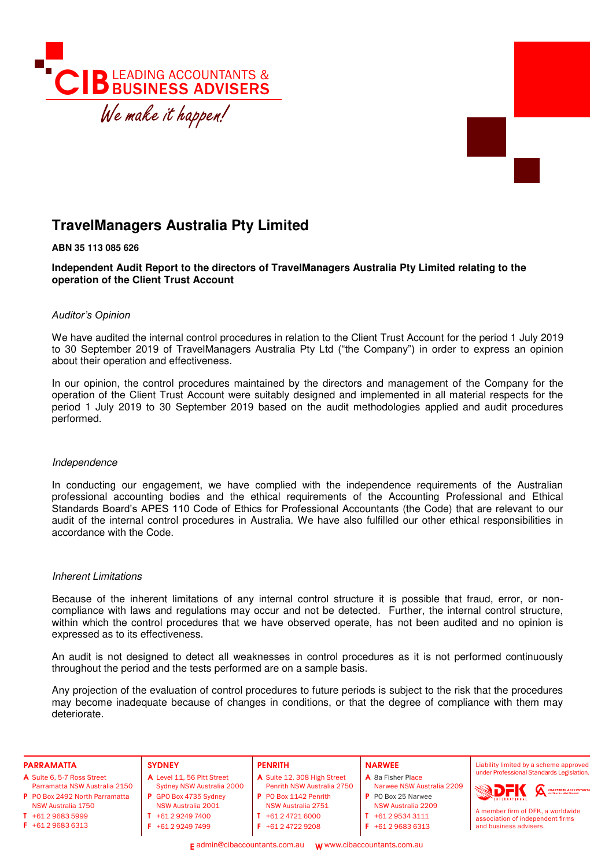



# **TravelManagers Australia Pty Limited**

**ABN 35 113 085 626** 

**Independent Audit Report to the directors of TravelManagers Australia Pty Limited relating to the operation of the Client Trust Account** 

# *Auditor's Opinion*

We have audited the internal control procedures in relation to the Client Trust Account for the period 1 July 2019 to 30 September 2019 of TravelManagers Australia Pty Ltd ("the Company") in order to express an opinion about their operation and effectiveness.

In our opinion, the control procedures maintained by the directors and management of the Company for the operation of the Client Trust Account were suitably designed and implemented in all material respects for the period 1 July 2019 to 30 September 2019 based on the audit methodologies applied and audit procedures performed.

# Independence

In conducting our engagement, we have complied with the independence requirements of the Australian professional accounting bodies and the ethical requirements of the Accounting Professional and Ethical Standards Board's APES 110 Code of Ethics for Professional Accountants (the Code) that are relevant to our audit of the internal control procedures in Australia. We have also fulfilled our other ethical responsibilities in accordance with the Code.

# Inherent Limitations

Because of the inherent limitations of any internal control structure it is possible that fraud, error, or noncompliance with laws and regulations may occur and not be detected. Further, the internal control structure, within which the control procedures that we have observed operate, has not been audited and no opinion is expressed as to its effectiveness.

An audit is not designed to detect all weaknesses in control procedures as it is not performed continuously throughout the period and the tests performed are on a sample basis.

Any projection of the evaluation of control procedures to future periods is subject to the risk that the procedures may become inadequate because of changes in conditions, or that the degree of compliance with them may deteriorate.

| <b>PARRAMATTA</b>              | <b>SYDNEY</b>              | <b>PENRITH</b>              | <b>NARWEE</b>             | Liability limited by a scheme approved    |
|--------------------------------|----------------------------|-----------------------------|---------------------------|-------------------------------------------|
| A Suite 6, 5-7 Ross Street     | A Level 11, 56 Pitt Street | A Suite 12, 308 High Street | A 8a Fisher Place         | under Professional Standards Legislation. |
| Parramatta NSW Australia 2150  | Sydney NSW Australia 2000  | Penrith NSW Australia 2750  | Narwee NSW Australia 2209 | <b>BDFK</b>                               |
| P PO Box 2492 North Parramatta | P GPO Box 4735 Sydney      | P PO Box 1142 Penrith       | P PO Box 25 Narwee        | CHARTERED ACCOUNTANTS                     |
| NSW Australia 1750             | NSW Australia 2001         | <b>NSW Australia 2751</b>   | NSW Australia 2209        | A member firm of DFK, a worldwide         |
| $T + 61296835999$              | +61 2 9249 7400            | $T + 61247216000$           | $T + 61295343111$         | association of independent firms          |
| $F$ +61 2 9683 6313            | +61 2 9249 7499            | $F$ +61 2 4722 9208         | $F + 61296836313$         | and business advisers.                    |